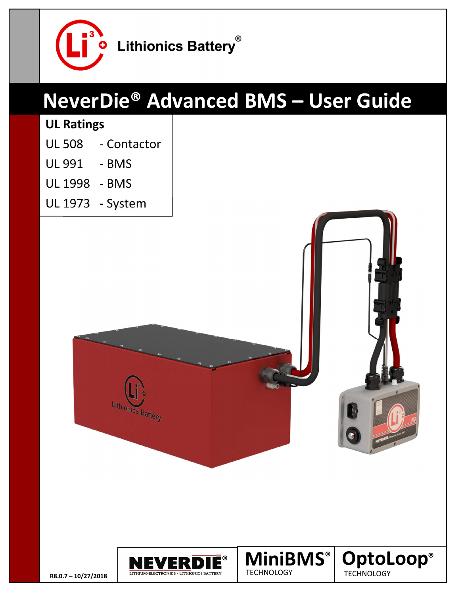

# **NeverDie® Advanced BMS – User Guide**

#### **UL Ratings**

- UL 508 Contactor
- UL 991 BMS
- UL 1998 BMS
- UL 1973 System



Lithionics Battery

**MiniBMS OptoLoop ® ®**

**TECHNOLOGY** 

**TECHNOLOGY**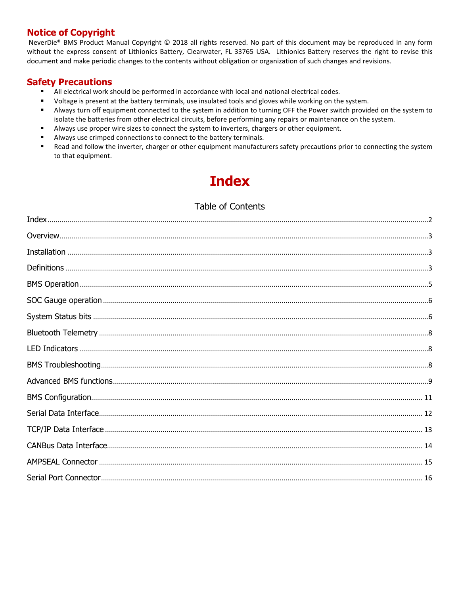#### **Notice of Copyright**

 NeverDie® BMS Product Manual Copyright © 2018 all rights reserved. No part of this document may be reproduced in any form without the express consent of Lithionics Battery, Clearwater, FL 33765 USA. Lithionics Battery reserves the right to revise this document and make periodic changes to the contents without obligation or organization of such changes and revisions.

#### **Safety Precautions**

- All electrical work should be performed in accordance with local and national electrical codes.
- Voltage is present at the battery terminals, use insulated tools and gloves while working on the system.
- Always turn off equipment connected to the system in addition to turning OFF the Power switch provided on the system to isolate the batteries from other electrical circuits, before performing any repairs or maintenance on the system.
- Always use proper wire sizes to connect the system to inverters, chargers or other equipment.
- Always use crimped connections to connect to the battery terminals.
- Read and follow the inverter, charger or other equipment manufacturers safety precautions prior to connecting the system to that equipment.

# **Index**

#### Table of Contents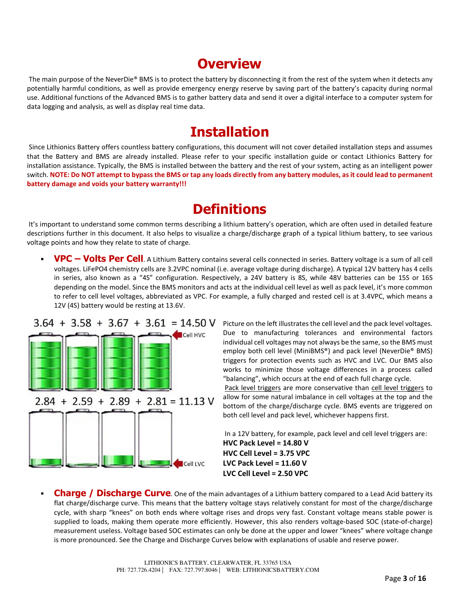## **Overview**

The main purpose of the NeverDie® BMS is to protect the battery by disconnecting it from the rest of the system when it detects any potentially harmful conditions, as well as provide emergency energy reserve by saving part of the battery's capacity during normal use. Additional functions of the Advanced BMS is to gather battery data and send it over a digital interface to a computer system for data logging and analysis, as well as display real time data.

### **Installation**

Since Lithionics Battery offers countless battery configurations, this document will not cover detailed installation steps and assumes that the Battery and BMS are already installed. Please refer to your specific installation guide or contact Lithionics Battery for installation assistance. Typically, the BMS is installed between the battery and the rest of your system, acting as an intelligent power switch. **NOTE: Do NOT attempt to bypass the BMS or tap any loads directly from any battery modules, as it could lead to permanent battery damage and voids your battery warranty!!!**

### **Definitions**

 It's important to understand some common terms describing a lithium battery's operation, which are often used in detailed feature descriptions further in this document. It also helps to visualize a charge/discharge graph of a typical lithium battery, to see various voltage points and how they relate to state of charge.

 **VPC – Volts Per Cell**. A Lithium Battery contains several cells connected in series. Battery voltage is a sum of all cell voltages. LiFePO4 chemistry cells are 3.2VPC nominal (i.e. average voltage during discharge). A typical 12V battery has 4 cells in series, also known as a "4S" configuration. Respectively, a 24V battery is 8S, while 48V batteries can be 15S or 16S depending on the model. Since the BMS monitors and acts at the individual cell level as well as pack level, it's more common to refer to cell level voltages, abbreviated as VPC. For example, a fully charged and rested cell is at 3.4VPC, which means a 12V (4S) battery would be resting at 13.6V.



Picture on the left illustrates the cell level and the pack level voltages. Due to manufacturing tolerances and environmental factors individual cell voltages may not always be the same, so the BMS must employ both cell level (MiniBMS®) and pack level (NeverDie® BMS) triggers for protection events such as HVC and LVC. Our BMS also works to minimize those voltage differences in a process called "balancing", which occurs at the end of each full charge cycle.

 Pack level triggers are more conservative than cell level triggers to allow for some natural imbalance in cell voltages at the top and the bottom of the charge/discharge cycle. BMS events are triggered on both cell level and pack level, whichever happens first.

 In a 12V battery, for example, pack level and cell level triggers are: **HVC Pack Level = 14.80 V HVC Cell Level = 3.75 VPC LVC Pack Level = 11.60 V LVC Cell Level = 2.50 VPC**

**Charge / Discharge Curve**. One of the main advantages of a Lithium battery compared to a Lead Acid battery its flat charge/discharge curve. This means that the battery voltage stays relatively constant for most of the charge/discharge cycle, with sharp "knees" on both ends where voltage rises and drops very fast. Constant voltage means stable power is supplied to loads, making them operate more efficiently. However, this also renders voltage-based SOC (state-of-charge) measurement useless. Voltage based SOC estimates can only be done at the upper and lower "knees" where voltage change is more pronounced. See the Charge and Discharge Curves below with explanations of usable and reserve power.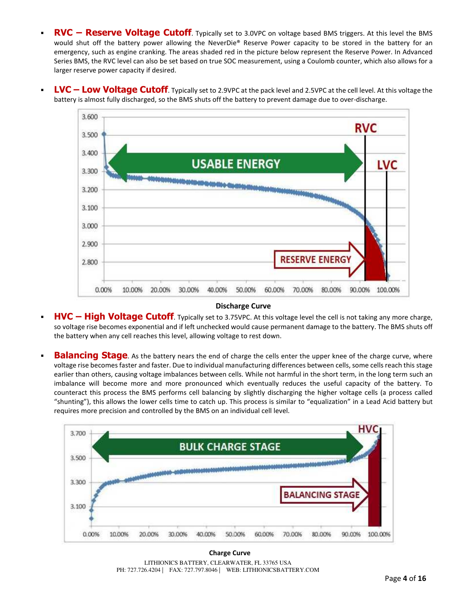- RVC Reserve Voltage Cutoff. Typically set to 3.0VPC on voltage based BMS triggers. At this level the BMS would shut off the battery power allowing the NeverDie® Reserve Power capacity to be stored in the battery for an emergency, such as engine cranking. The areas shaded red in the picture below represent the Reserve Power. In Advanced Series BMS, the RVC level can also be set based on true SOC measurement, using a Coulomb counter, which also allows for a larger reserve power capacity if desired.
- **LVC Low Voltage Cutoff**. Typically set to 2.9VPC at the pack level and 2.5VPC at the cell level. At this voltage the battery is almost fully discharged, so the BMS shuts off the battery to prevent damage due to over-discharge.



#### **Discharge Curve**

- **HVC High Voltage Cutoff**. Typically set to 3.75VPC. At this voltage level the cell is not taking any more charge, so voltage rise becomes exponential and if left unchecked would cause permanent damage to the battery. The BMS shuts off the battery when any cell reaches this level, allowing voltage to rest down.
- **Balancing Stage**. As the battery nears the end of charge the cells enter the upper knee of the charge curve, where voltage rise becomes faster and faster. Due to individual manufacturing differences between cells, some cells reach this stage earlier than others, causing voltage imbalances between cells. While not harmful in the short term, in the long term such an imbalance will become more and more pronounced which eventually reduces the useful capacity of the battery. To counteract this process the BMS performs cell balancing by slightly discharging the higher voltage cells (a process called "shunting"), this allows the lower cells time to catch up. This process is similar to "equalization" in a Lead Acid battery but requires more precision and controlled by the BMS on an individual cell level.



LITHIONICS BATTERY, CLEARWATER, FL 33765 USA PH: 727.726.4204 | FAX: 727.797.8046 | WEB: LITHIONICSBATTERY.COM **Charge Curve**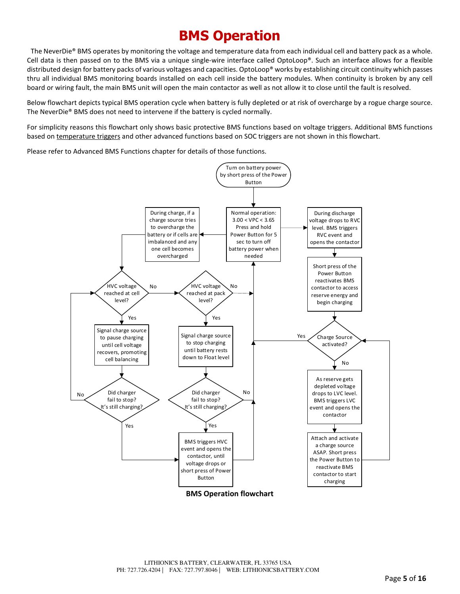# **BMS Operation**

 The NeverDie® BMS operates by monitoring the voltage and temperature data from each individual cell and battery pack as a whole. Cell data is then passed on to the BMS via a unique single-wire interface called OptoLoop®. Such an interface allows for a flexible distributed design for battery packs of various voltages and capacities. OptoLoop® works by establishing circuit continuity which passes thru all individual BMS monitoring boards installed on each cell inside the battery modules. When continuity is broken by any cell board or wiring fault, the main BMS unit will open the main contactor as well as not allow it to close until the fault is resolved.

Below flowchart depicts typical BMS operation cycle when battery is fully depleted or at risk of overcharge by a rogue charge source. The NeverDie® BMS does not need to intervene if the battery is cycled normally.

For simplicity reasons this flowchart only shows basic protective BMS functions based on voltage triggers. Additional BMS functions based on temperature triggers and other advanced functions based on SOC triggers are not shown in this flowchart.

Please refer to Advanced BMS Functions chapter for details of those functions.

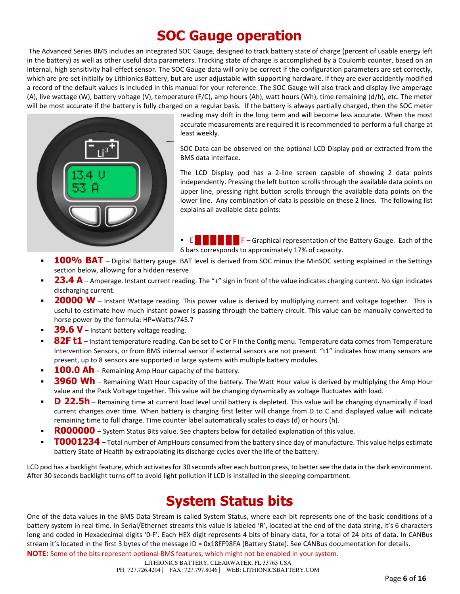# **SOC Gauge operation**

 The Advanced Series BMS includes an integrated SOC Gauge, designed to track battery state of charge (percent of usable energy left in the battery) as well as other useful data parameters. Tracking state of charge is accomplished by a Coulomb counter, based on an internal, high sensitivity hall-effect sensor. The SOC Gauge data will only be correct if the configuration parameters are set correctly, which are pre-set initially by Lithionics Battery, but are user adjustable with supporting hardware. If they are ever accidently modified a record of the default values is included in this manual for your reference. The SOC Gauge will also track and display live amperage (A), live wattage (W), battery voltage (V), temperature (F/C), amp hours (Ah), watt hours (Wh), time remaining (d/h), etc. The meter will be most accurate if the battery is fully charged on a regular basis. If the battery is always partially charged, then the SOC meter



reading may drift in the long term and will become less accurate. When the most accurate measurements are required it is recommended to perform a full charge at least weekly.

SOC Data can be observed on the optional LCD Display pod or extracted from the BMS data interface.

The LCD Display pod has a 2-line screen capable of showing 2 data points independently. Pressing the left button scrolls through the available data points on upper line, pressing right button scrolls through the available data points on the lower line. Any combination of data is possible on these 2 lines. The following list explains all available data points:

- **E**  $\mathbb{E}$  $\mathbb{E}$  $\mathbb{E}$  $\mathbb{E}$  $\mathbb{E}$  **F** Graphical representation of the Battery Gauge. Each of the 6 bars corresponds to approximately 17% of capacity.
- 100% BAT Digital Battery gauge. BAT level is derived from SOC minus the MinSOC setting explained in the Settings section below, allowing for a hidden reserve
- **23.4 A** Amperage. Instant current reading. The "+" sign in front of the value indicates charging current. No sign indicates discharging current.
- **20000 W** Instant Wattage reading. This power value is derived by multiplying current and voltage together. This is useful to estimate how much instant power is passing through the battery circuit. This value can be manually converted to horse power by the formula: HP=Watts/745.7
- **39.6 V** Instant battery voltage reading.
- 82F t1 Instant temperature reading. Can be set to C or F in the Config menu. Temperature data comes from Temperature Intervention Sensors, or from BMS internal sensor if external sensors are not present. "t1" indicates how many sensors are present, up to 8 sensors are supported in large systems with multiple battery modules.
- **100.0 Ah** Remaining Amp Hour capacity of the battery.
- **3960 Wh** Remaining Watt Hour capacity of the battery. The Watt Hour value is derived by multiplying the Amp Hour value and the Pack Voltage together. This value will be changing dynamically as voltage fluctuates with load.
- **D** 22.5h Remaining time at current load level until battery is depleted. This value will be changing dynamically if load current changes over time. When battery is charging first letter will change from D to C and displayed value will indicate remaining time to full charge. Time counter label automatically scales to days (d) or hours (h).
- **R000000** System Status Bits value. See chapters below for detailed explanation of this value.
- **T0001234** Total number of AmpHours consumed from the battery since day of manufacture. This value helps estimate battery State of Health by extrapolating its discharge cycles over the life of the battery.

LCD pod has a backlight feature, which activates for 30 seconds after each button press, to better see the data in the dark environment. After 30 seconds backlight turns off to avoid light pollution if LCD is installed in the sleeping compartment.

# **System Status bits**

One of the data values in the BMS Data Stream is called System Status, where each bit represents one of the basic conditions of a battery system in real time. In Serial/Ethernet streams this value is labeled 'R', located at the end of the data string, it's 6 characters long and coded in Hexadecimal digits '0-F'. Each HEX digit represents 4 bits of binary data, for a total of 24 bits of data. In CANBus stream it's located in the first 3 bytes of the message ID = 0x18FF98FA (Battery State). See CANBus documentation for details.

**NOTE:** Some of the bits represent optional BMS features, which might not be enabled in your system.

PH: 727.726.4204 | FAX: 727.797.8046 | WEB: LITHIONICSBATTERY.COM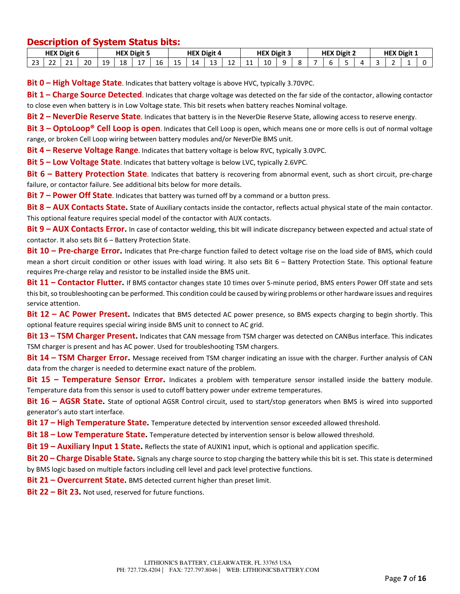#### **Description of System Status bits:**

| <b>HEX Digit 6</b> |             |              |    | X Digit 5<br>HE) |          |          | <b>HEX Digit 4</b> |    |         | <b>HEX Digit 3</b> |           |    | <b>HEX Digit 2</b> |  |  | <b>HEX Digit 1</b> |  |  |  |  |  |  |  |
|--------------------|-------------|--------------|----|------------------|----------|----------|--------------------|----|---------|--------------------|-----------|----|--------------------|--|--|--------------------|--|--|--|--|--|--|--|
| $\sim$<br>ر ے      | $\sim$<br>. | $\sim$<br>-- | 20 | 10<br>ᆠ          | റ<br>ᅟᅩᅀ | <b>.</b> | 16                 | -- | 4 ا<br> | $\sim$<br>IJ       | . .<br>-- | -- | 10                 |  |  |                    |  |  |  |  |  |  |  |

**Bit 0 – High Voltage State**. Indicates that battery voltage is above HVC, typically 3.70VPC.

**Bit 1 – Charge Source Detected**. Indicates that charge voltage was detected on the far side of the contactor, allowing contactor to close even when battery is in Low Voltage state. This bit resets when battery reaches Nominal voltage.

**Bit 2 – NeverDie Reserve State**. Indicates that battery is in the NeverDie Reserve State, allowing access to reserve energy.

**Bit 3 – OptoLoop® Cell Loop is open**. Indicates that Cell Loop is open, which means one or more cells is out of normal voltage range, or broken Cell Loop wiring between battery modules and/or NeverDie BMS unit.

**Bit 4 – Reserve Voltage Range**. Indicates that battery voltage is below RVC, typically 3.0VPC.

**Bit 5 – Low Voltage State**. Indicates that battery voltage is below LVC, typically 2.6VPC.

**Bit 6 – Battery Protection State**. Indicates that battery is recovering from abnormal event, such as short circuit, pre-charge failure, or contactor failure. See additional bits below for more details.

**Bit 7 – Power Off State**. Indicates that battery was turned off by a command or a button press.

**Bit 8 – AUX Contacts State.** State of Auxiliary contacts inside the contactor, reflects actual physical state of the main contactor. This optional feature requires special model of the contactor with AUX contacts.

**Bit 9 – AUX Contacts Error.** In case of contactor welding, this bit will indicate discrepancy between expected and actual state of contactor. It also sets Bit 6 – Battery Protection State.

**Bit 10 – Pre-charge Error.** Indicates that Pre-charge function failed to detect voltage rise on the load side of BMS, which could mean a short circuit condition or other issues with load wiring. It also sets Bit 6 – Battery Protection State. This optional feature requires Pre-charge relay and resistor to be installed inside the BMS unit.

**Bit 11 – Contactor Flutter.** If BMS contactor changes state 10 times over 5-minute period, BMS enters Power Off state and sets this bit, so troubleshooting can be performed. This condition could be caused by wiring problems or other hardware issues and requires service attention.

**Bit 12 – AC Power Present.** Indicates that BMS detected AC power presence, so BMS expects charging to begin shortly. This optional feature requires special wiring inside BMS unit to connect to AC grid.

**Bit 13 – TSM Charger Present.** Indicates that CAN message from TSM charger was detected on CANBus interface. This indicates TSM charger is present and has AC power. Used for troubleshooting TSM chargers.

**Bit 14 – TSM Charger Error.** Message received from TSM charger indicating an issue with the charger. Further analysis of CAN data from the charger is needed to determine exact nature of the problem.

**Bit 15 – Temperature Sensor Error.** Indicates a problem with temperature sensor installed inside the battery module. Temperature data from this sensor is used to cutoff battery power under extreme temperatures.

**Bit 16 – AGSR State.** State of optional AGSR Control circuit, used to start/stop generators when BMS is wired into supported generator's auto start interface.

**Bit 17 – High Temperature State.** Temperature detected by intervention sensor exceeded allowed threshold.

**Bit 18 – Low Temperature State.** Temperature detected by intervention sensor is below allowed threshold.

**Bit 19 – Auxiliary Input 1 State.** Reflects the state of AUXIN1 input, which is optional and application specific.

**Bit 20 – Charge Disable State.** Signals any charge source to stop charging the battery while this bit is set. This state is determined by BMS logic based on multiple factors including cell level and pack level protective functions.

**Bit 21 – Overcurrent State.** BMS detected current higher than preset limit.

**Bit 22 – Bit 23.** Not used, reserved for future functions.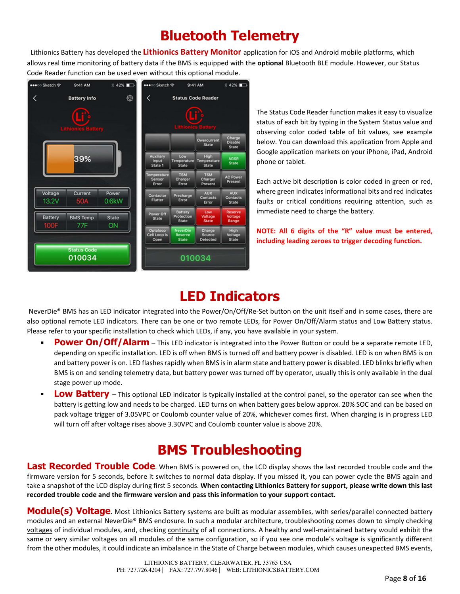# **Bluetooth Telemetry**

 Lithionics Battery has developed the **Lithionics Battery Monitor** application for iOS and Android mobile platforms, which allows real time monitoring of battery data if the BMS is equipped with the **optional** Bluetooth BLE module. However, our Status Code Reader function can be used even without this optional module.



The Status Code Reader function makes it easy to visualize status of each bit by typing in the System Status value and observing color coded table of bit values, see example below. You can download this application from Apple and Google application markets on your iPhone, iPad, Android phone or tablet.

Each active bit description is color coded in green or red, where green indicates informational bits and red indicates faults or critical conditions requiring attention, such as immediate need to charge the battery.

**NOTE: All 6 digits of the "R" value must be entered, including leading zeroes to trigger decoding function.** 

### **LED Indicators**

 NeverDie® BMS has an LED indicator integrated into the Power/On/Off/Re-Set button on the unit itself and in some cases, there are also optional remote LED indicators. There can be one or two remote LEDs, for Power On/Off/Alarm status and Low Battery status. Please refer to your specific installation to check which LEDs, if any, you have available in your system.

- **Power On/Off/Alarm** This LED indicator is integrated into the Power Button or could be a separate remote LED, depending on specific installation. LED is off when BMS is turned off and battery power is disabled. LED is on when BMS is on and battery power is on. LED flashes rapidly when BMS is in alarm state and battery power is disabled. LED blinks briefly when BMS is on and sending telemetry data, but battery power was turned off by operator, usually this is only available in the dual stage power up mode.
- **Low Battery** This optional LED indicator is typically installed at the control panel, so the operator can see when the battery is getting low and needs to be charged. LED turns on when battery goes below approx. 20% SOC and can be based on pack voltage trigger of 3.05VPC or Coulomb counter value of 20%, whichever comes first. When charging is in progress LED will turn off after voltage rises above 3.30VPC and Coulomb counter value is above 20%.

# **BMS Troubleshooting**

Last Recorded Trouble Code. When BMS is powered on, the LCD display shows the last recorded trouble code and the firmware version for 5 seconds, before it switches to normal data display. If you missed it, you can power cycle the BMS again and take a snapshot of the LCD display during first 5 seconds. **When contacting Lithionics Battery for support, please write down this last recorded trouble code and the firmware version and pass this information to your support contact.**

**Module(s) Voltage**. Most Lithionics Battery systems are built as modular assemblies, with series/parallel connected battery modules and an external NeverDie® BMS enclosure. In such a modular architecture, troubleshooting comes down to simply checking voltages of individual modules, and, checking continuity of all connections. A healthy and well-maintained battery would exhibit the same or very similar voltages on all modules of the same configuration, so if you see one module's voltage is significantly different from the other modules, it could indicate an imbalance in the State of Charge between modules, which causes unexpected BMS events,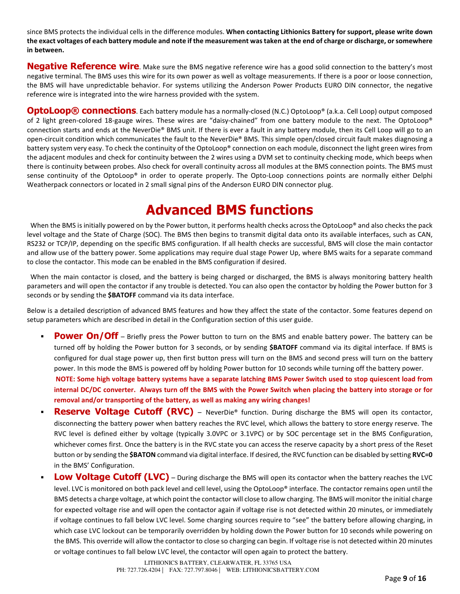since BMS protects the individual cells in the difference modules. **When contacting Lithionics Battery for support, please write down the exact voltages of each battery module and note if the measurement was taken at the end of charge or discharge, or somewhere in between.**

**Negative Reference wire**. Make sure the BMS negative reference wire has a good solid connection to the battery's most negative terminal. The BMS uses this wire for its own power as well as voltage measurements. If there is a poor or loose connection, the BMS will have unpredictable behavior. For systems utilizing the Anderson Power Products EURO DIN connector, the negative reference wire is integrated into the wire harness provided with the system.

**OptoLoop® connections**. Each battery module has a normally-closed (N.C.) OptoLoop® (a.k.a. Cell Loop) output composed of 2 light green-colored 18-gauge wires. These wires are "daisy-chained" from one battery module to the next. The OptoLoop® connection starts and ends at the NeverDie® BMS unit. If there is ever a fault in any battery module, then its Cell Loop will go to an open-circuit condition which communicates the fault to the NeverDie® BMS. This simple open/closed circuit fault makes diagnosing a battery system very easy. To check the continuity of the OptoLoop® connection on each module, disconnect the light green wires from the adjacent modules and check for continuity between the 2 wires using a DVM set to continuity checking mode, which beeps when there is continuity between probes. Also check for overall continuity across all modules at the BMS connection points. The BMS must sense continuity of the OptoLoop® in order to operate properly. The Opto-Loop connections points are normally either Delphi Weatherpack connectors or located in 2 small signal pins of the Anderson EURO DIN connector plug.

### **Advanced BMS functions**

When the BMS is initially powered on by the Power button, it performs health checks across the OptoLoop® and also checks the pack level voltage and the State of Charge (SOC). The BMS then begins to transmit digital data onto its available interfaces, such as CAN, RS232 or TCP/IP, depending on the specific BMS configuration. If all health checks are successful, BMS will close the main contactor and allow use of the battery power. Some applications may require dual stage Power Up, where BMS waits for a separate command to close the contactor. This mode can be enabled in the BMS configuration if desired.

 When the main contactor is closed, and the battery is being charged or discharged, the BMS is always monitoring battery health parameters and will open the contactor if any trouble is detected. You can also open the contactor by holding the Power button for 3 seconds or by sending the **\$BATOFF** command via its data interface.

Below is a detailed description of advanced BMS features and how they affect the state of the contactor. Some features depend on setup parameters which are described in detail in the Configuration section of this user guide.

**Power On/Off** – Briefly press the Power button to turn on the BMS and enable battery power. The battery can be turned off by holding the Power button for 3 seconds, or by sending **\$BATOFF** command via its digital interface. If BMS is configured for dual stage power up, then first button press will turn on the BMS and second press will turn on the battery power. In this mode the BMS is powered off by holding Power button for 10 seconds while turning off the battery power.

**NOTE: Some high voltage battery systems have a separate latching BMS Power Switch used to stop quiescent load from internal DC/DC converter. Always turn off the BMS with the Power Switch when placing the battery into storage or for removal and/or transporting of the battery, as well as making any wiring changes!**

- Reserve Voltage Cutoff (RVC) NeverDie<sup>®</sup> function. During discharge the BMS will open its contactor, disconnecting the battery power when battery reaches the RVC level, which allows the battery to store energy reserve. The RVC level is defined either by voltage (typically 3.0VPC or 3.1VPC) or by SOC percentage set in the BMS Configuration, whichever comes first. Once the battery is in the RVC state you can access the reserve capacity by a short press of the Reset button or by sending the **\$BATON** command via digital interface. If desired, the RVC function can be disabled by setting **RVC=0** in the BMS' Configuration.
- **Low Voltage Cutoff (LVC)** During discharge the BMS will open its contactor when the battery reaches the LVC level. LVC is monitored on both pack level and cell level, using the OptoLoop® interface. The contactor remains open until the BMS detects a charge voltage, at which point the contactor will close to allow charging. The BMS will monitor the initial charge for expected voltage rise and will open the contactor again if voltage rise is not detected within 20 minutes, or immediately if voltage continues to fall below LVC level. Some charging sources require to "see" the battery before allowing charging, in which case LVC lockout can be temporarily overridden by holding down the Power button for 10 seconds while powering on the BMS. This override will allow the contactor to close so charging can begin. If voltage rise is not detected within 20 minutes or voltage continues to fall below LVC level, the contactor will open again to protect the battery.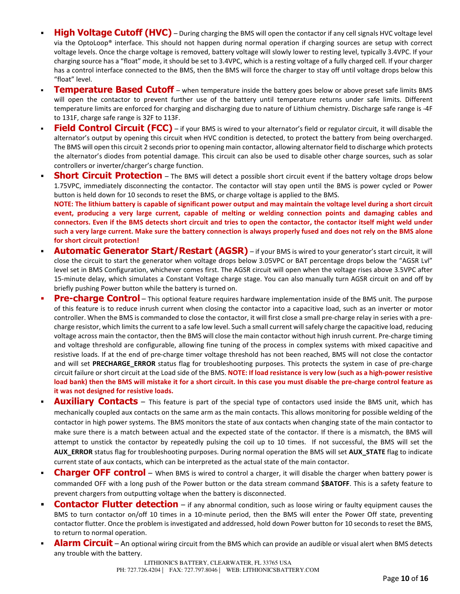- **High Voltage Cutoff (HVC)** During charging the BMS will open the contactor if any cell signals HVC voltage level via the OptoLoop® interface. This should not happen during normal operation if charging sources are setup with correct voltage levels. Once the charge voltage is removed, battery voltage will slowly lower to resting level, typically 3.4VPC. If your charging source has a "float" mode, it should be set to 3.4VPC, which is a resting voltage of a fully charged cell. If your charger has a control interface connected to the BMS, then the BMS will force the charger to stay off until voltage drops below this "float" level.
- **Temperature Based Cutoff** when temperature inside the battery goes below or above preset safe limits BMS will open the contactor to prevent further use of the battery until temperature returns under safe limits. Different temperature limits are enforced for charging and discharging due to nature of Lithium chemistry. Discharge safe range is -4F to 131F, charge safe range is 32F to 113F.
- **Field Control Circuit (FCC)** if your BMS is wired to your alternator's field or regulator circuit, it will disable the alternator's output by opening this circuit when HVC condition is detected, to protect the battery from being overcharged. The BMS will open this circuit 2 seconds prior to opening main contactor, allowing alternator field to discharge which protects the alternator's diodes from potential damage. This circuit can also be used to disable other charge sources, such as solar controllers or inverter/charger's charge function.
- **Short Circuit Protection** The BMS will detect a possible short circuit event if the battery voltage drops below 1.75VPC, immediately disconnecting the contactor. The contactor will stay open until the BMS is power cycled or Power button is held down for 10 seconds to reset the BMS, or charge voltage is applied to the BMS. **NOTE: The lithium battery is capable of significant power output and may maintain the voltage level during a short circuit event, producing a very large current, capable of melting or welding connection points and damaging cables and connectors. Even if the BMS detects short circuit and tries to open the contactor, the contactor itself might weld under such a very large current. Make sure the battery connection is always properly fused and does not rely on the BMS alone**
- **for short circuit protection! Automatic Generator Start/Restart (AGSR)** – if your BMS is wired to your generator's start circuit, it will close the circuit to start the generator when voltage drops below 3.05VPC or BAT percentage drops below the "AGSR Lvl" level set in BMS Configuration, whichever comes first. The AGSR circuit will open when the voltage rises above 3.5VPC after 15-minute delay, which simulates a Constant Voltage charge stage. You can also manually turn AGSR circuit on and off by briefly pushing Power button while the battery is turned on.
- **Pre-charge Control** This optional feature requires hardware implementation inside of the BMS unit. The purpose of this feature is to reduce inrush current when closing the contactor into a capacitive load, such as an inverter or motor controller. When the BMS is commanded to close the contactor, it will first close a small pre-charge relay in series with a precharge resistor, which limits the current to a safe low level. Such a small current will safely charge the capacitive load, reducing voltage across main the contactor, then the BMS will close the main contactor without high inrush current. Pre-charge timing and voltage threshold are configurable, allowing fine tuning of the process in complex systems with mixed capacitive and resistive loads. If at the end of pre-charge timer voltage threshold has not been reached, BMS will not close the contactor and will set **PRECHARGE\_ERROR** status flag for troubleshooting purposes. This protects the system in case of pre-charge circuit failure or short circuit at the Load side of the BMS. **NOTE: If load resistance is very low (such as a high-power resistive load bank) then the BMS will mistake it for a short circuit. In this case you must disable the pre-charge control feature as it was not designed for resistive loads.**
- **Auxiliary Contacts** This feature is part of the special type of contactors used inside the BMS unit, which has mechanically coupled aux contacts on the same arm as the main contacts. This allows monitoring for possible welding of the contactor in high power systems. The BMS monitors the state of aux contacts when changing state of the main contactor to make sure there is a match between actual and the expected state of the contactor. If there is a mismatch, the BMS will attempt to unstick the contactor by repeatedly pulsing the coil up to 10 times. If not successful, the BMS will set the **AUX\_ERROR** status flag for troubleshooting purposes. During normal operation the BMS will set **AUX\_STATE** flag to indicate current state of aux contacts, which can be interpreted as the actual state of the main contactor.
- **Charger OFF control** When BMS is wired to control a charger, it will disable the charger when battery power is commanded OFF with a long push of the Power button or the data stream command **\$BATOFF**. This is a safety feature to prevent chargers from outputting voltage when the battery is disconnected.
- **Contactor Flutter detection** if any abnormal condition, such as loose wiring or faulty equipment causes the BMS to turn contactor on/off 10 times in a 10-minute period, then the BMS will enter the Power Off state, preventing contactor flutter. Once the problem is investigated and addressed, hold down Power button for 10 seconds to reset the BMS, to return to normal operation.
- **Alarm Circuit** An optional wiring circuit from the BMS which can provide an audible or visual alert when BMS detects any trouble with the battery.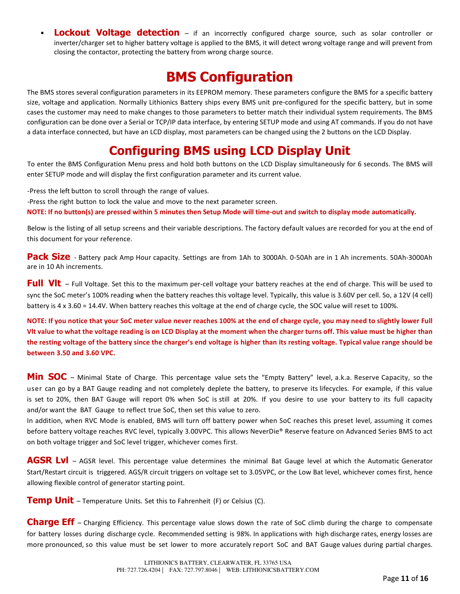**Lockout Voltage detection** – if an incorrectly configured charge source, such as solar controller or inverter/charger set to higher battery voltage is applied to the BMS, it will detect wrong voltage range and will prevent from closing the contactor, protecting the battery from wrong charge source.

### **BMS Configuration**

The BMS stores several configuration parameters in its EEPROM memory. These parameters configure the BMS for a specific battery size, voltage and application. Normally Lithionics Battery ships every BMS unit pre-configured for the specific battery, but in some cases the customer may need to make changes to those parameters to better match their individual system requirements. The BMS configuration can be done over a Serial or TCP/IP data interface, by entering SETUP mode and using AT commands. If you do not have a data interface connected, but have an LCD display, most parameters can be changed using the 2 buttons on the LCD Display.

### **Configuring BMS using LCD Display Unit**

To enter the BMS Configuration Menu press and hold both buttons on the LCD Display simultaneously for 6 seconds. The BMS will enter SETUP mode and will display the first configuration parameter and its current value.

-Press the left button to scroll through the range of values.

-Press the right button to lock the value and move to the next parameter screen.

**NOTE: If no button(s) are pressed within 5 minutes then Setup Mode will time-out and switch to display mode automatically.** 

Below is the listing of all setup screens and their variable descriptions. The factory default values are recorded for you at the end of this document for your reference.

**Pack Size** - Battery pack Amp Hour capacity. Settings are from 1Ah to 3000Ah. 0-50Ah are in 1 Ah increments. 50Ah-3000Ah are in 10 Ah increments.

Full VIt - Full Voltage. Set this to the maximum per-cell voltage your battery reaches at the end of charge. This will be used to sync the SoC meter's 100% reading when the battery reaches this voltage level. Typically, this value is 3.60V per cell. So, a 12V (4 cell) battery is 4 x 3.60 = 14.4V. When battery reaches this voltage at the end of charge cycle, the SOC value will reset to 100%.

**NOTE: If you notice that your SoC meter value never reaches 100% at the end of charge cycle, you may need to slightly lower Full Vlt value to what the voltage reading is on LCD Display at the moment when the charger turns off. This value must be higher than the resting voltage of the battery since the charger's end voltage is higher than its resting voltage. Typical value range should be between 3.50 and 3.60 VPC.** 

Min SOC – Minimal State of Charge. This percentage value sets the "Empty Battery" level, a.k.a. Reserve Capacity, so the user can go by a BAT Gauge reading and not completely deplete the battery, to preserve its lifecycles. For example, if this value is set to 20%, then BAT Gauge will report 0% when SoC is still at 20%. If you desire to use your battery to its full capacity and/or want the BAT Gauge to reflect true SoC, then set this value to zero.

In addition, when RVC Mode is enabled, BMS will turn off battery power when SoC reaches this preset level, assuming it comes before battery voltage reaches RVC level, typically 3.00VPC. This allows NeverDie® Reserve feature on Advanced Series BMS to act on both voltage trigger and SoC level trigger, whichever comes first.

**AGSR Lvl** – AGSR level. This percentage value determines the minimal Bat Gauge level at which the Automatic Generator Start/Restart circuit is triggered. AGS/R circuit triggers on voltage set to 3.05VPC, or the Low Bat level, whichever comes first, hence allowing flexible control of generator starting point.

**Temp Unit** – Temperature Units. Set this to Fahrenheit (F) or Celsius (C).

**Charge Eff** – Charging Efficiency. This percentage value slows down the rate of SoC climb during the charge to compensate for battery losses during discharge cycle. Recommended setting is 98%. In applications with high discharge rates, energy losses are more pronounced, so this value must be set lower to more accurately report SoC and BAT Gauge values during partial charges.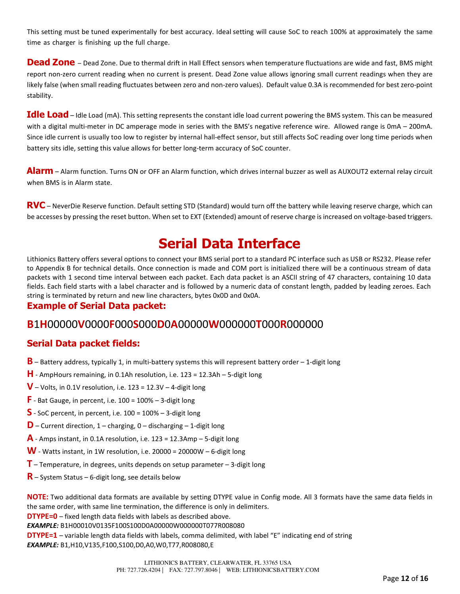This setting must be tuned experimentally for best accuracy. Ideal setting will cause SoC to reach 100% at approximately the same time as charger is finishing up the full charge.

**Dead Zone** – Dead Zone. Due to thermal drift in Hall Effect sensors when temperature fluctuations are wide and fast, BMS might report non-zero current reading when no current is present. Dead Zone value allows ignoring small current readings when they are likely false (when small reading fluctuates between zero and non-zero values). Default value 0.3A is recommended for best zero-point stability.

**Idle Load** – Idle Load (mA). This setting represents the constant idle load current powering the BMS system. This can be measured with a digital multi-meter in DC amperage mode in series with the BMS's negative reference wire. Allowed range is 0mA – 200mA. Since idle current is usually too low to register by internal hall-effect sensor, but still affects SoC reading over long time periods when battery sits idle, setting this value allows for better long-term accuracy of SoC counter.

**Alarm** – Alarm function. Turns ON or OFF an Alarm function, which drives internal buzzer as well as AUXOUT2 external relay circuit when BMS is in Alarm state.

**RVC** – NeverDie Reserve function. Default setting STD (Standard) would turn off the battery while leaving reserve charge, which can be accesses by pressing the reset button. When set to EXT (Extended) amount of reserve charge is increased on voltage-based triggers.

### **Serial Data Interface**

Lithionics Battery offers several options to connect your BMS serial port to a standard PC interface such as USB or RS232. Please refer to Appendix B for technical details. Once connection is made and COM port is initialized there will be a continuous stream of data packets with 1 second time interval between each packet. Each data packet is an ASCII string of 47 characters, containing 10 data fields. Each field starts with a label character and is followed by a numeric data of constant length, padded by leading zeroes. Each string is terminated by return and new line characters, bytes 0x0D and 0x0A.

#### **Example of Serial Data packet:**

#### **B**1**H**00000**V**0000**F**000**S**000**D**0**A**00000**W**000000**T**000**R**000000

#### **Serial Data packet fields:**

- **B** Battery address, typically 1, in multi-battery systems this will represent battery order 1-digit long
- **H** AmpHours remaining, in 0.1Ah resolution, i.e. 123 = 12.3Ah 5-digit long
- $V$  Volts, in 0.1V resolution, i.e. 123 = 12.3V 4-digit long
- $\mathsf{F}$  Bat Gauge, in percent, i.e. 100 = 100%  $-$  3-digit long
- **S** SoC percent, in percent, i.e. 100 = 100% 3-digit long
- **D** Current direction, 1 charging, 0 discharging 1-digit long
- $\overline{A}$  Amps instant, in 0.1A resolution, i.e. 123 = 12.3Amp 5-digit long
- $W$  Watts instant, in 1W resolution, i.e. 20000 = 20000W  $-$  6-digit long
- **T** Temperature, in degrees, units depends on setup parameter 3-digit long
- **R** System Status 6-digit long, see details below

**NOTE:** Two additional data formats are available by setting DTYPE value in Config mode. All 3 formats have the same data fields in the same order, with same line termination, the difference is only in delimiters. **DTYPE=0** – fixed length data fields with labels as described above. *EXAMPLE:* B1H00010V0135F100S100D0A00000W000000T077R008080 **DTYPE=1** – variable length data fields with labels, comma delimited, with label "E" indicating end of string *EXAMPLE:* B1,H10,V135,F100,S100,D0,A0,W0,T77,R008080,E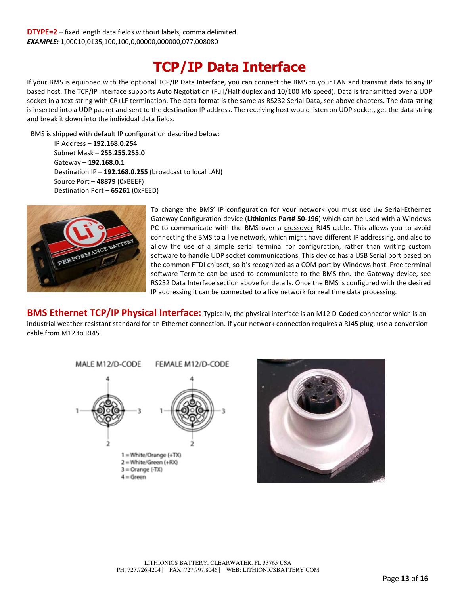### **TCP/IP Data Interface**

If your BMS is equipped with the optional TCP/IP Data Interface, you can connect the BMS to your LAN and transmit data to any IP based host. The TCP/IP interface supports Auto Negotiation (Full/Half duplex and 10/100 Mb speed). Data is transmitted over a UDP socket in a text string with CR+LF termination. The data format is the same as RS232 Serial Data, see above chapters. The data string is inserted into a UDP packet and sent to the destination IP address. The receiving host would listen on UDP socket, get the data string and break it down into the individual data fields.

BMS is shipped with default IP configuration described below:

IP Address – **192.168.0.254** Subnet Mask – **255.255.255.0** Gateway – **192.168.0.1** Destination IP – **192.168.0.255** (broadcast to local LAN) Source Port – **48879** (0xBEEF) Destination Port – **65261** (0xFEED)



To change the BMS' IP configuration for your network you must use the Serial-Ethernet Gateway Configuration device (**Lithionics Part# 50-196**) which can be used with a Windows PC to communicate with the BMS over a crossover RJ45 cable. This allows you to avoid connecting the BMS to a live network, which might have different IP addressing, and also to allow the use of a simple serial terminal for configuration, rather than writing custom software to handle UDP socket communications. This device has a USB Serial port based on the common FTDI chipset, so it's recognized as a COM port by Windows host. Free terminal software Termite can be used to communicate to the BMS thru the Gateway device, see RS232 Data Interface section above for details. Once the BMS is configured with the desired IP addressing it can be connected to a live network for real time data processing.

**BMS Ethernet TCP/IP Physical Interface:** Typically, the physical interface is an M12 D-Coded connector which is an industrial weather resistant standard for an Ethernet connection. If your network connection requires a RJ45 plug, use a conversion cable from M12 to RJ45.



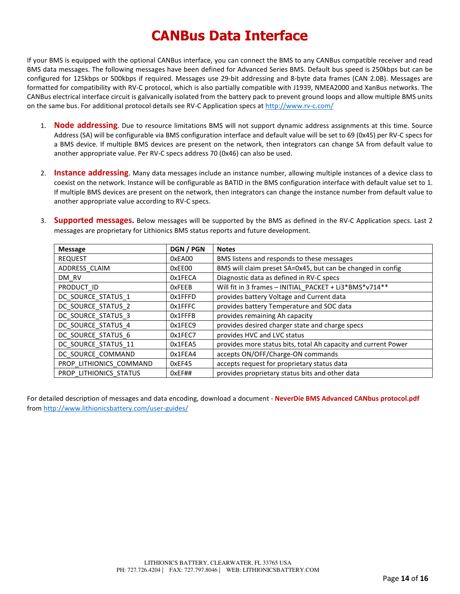## **CANBus Data Interface**

If your BMS is equipped with the optional CANBus interface, you can connect the BMS to any CANBus compatible receiver and read BMS data messages. The following messages have been defined for Advanced Series BMS. Default bus speed is 250kbps but can be configured for 125kbps or 500kbps if required. Messages use 29-bit addressing and 8-byte data frames (CAN 2.0B). Messages are formatted for compatibility with RV-C protocol, which is also partially compatible with J1939, NMEA2000 and XanBus networks. The CANBus electrical interface circuit is galvanically isolated from the battery pack to prevent ground loops and allow multiple BMS units on the same bus. For additional protocol details see RV-C Application specs at http://www.rv-c.com/

- 1. **Node addressing**. Due to resource limitations BMS will not support dynamic address assignments at this time. Source Address (SA) will be configurable via BMS configuration interface and default value will be set to 69 (0x45) per RV-C specs for a BMS device. If multiple BMS devices are present on the network, then integrators can change SA from default value to another appropriate value. Per RV-C specs address 70 (0x46) can also be used.
- 2. **Instance addressing**. Many data messages include an instance number, allowing multiple instances of a device class to coexist on the network. Instance will be configurable as BATID in the BMS configuration interface with default value set to 1. If multiple BMS devices are present on the network, then integrators can change the instance number from default value to another appropriate value according to RV-C specs.
- 3. **Supported messages.** Below messages will be supported by the BMS as defined in the RV-C Application specs. Last 2 messages are proprietary for Lithionics BMS status reports and future development.

| <b>Message</b>          | DGN / PGN     | <b>Notes</b>                                                   |
|-------------------------|---------------|----------------------------------------------------------------|
| <b>REQUEST</b>          | 0xEA00        | BMS listens and responds to these messages                     |
| ADDRESS CLAIM           | 0xEE00        | BMS will claim preset SA=0x45, but can be changed in config    |
| DM RV                   | 0x1FECA       | Diagnostic data as defined in RV-C specs                       |
| PRODUCT ID              | <b>OxFEEB</b> | Will fit in 3 frames - INITIAL_PACKET + Li3*BMS*v714**         |
| DC SOURCE_STATUS_1      | 0x1FFFD       | provides battery Voltage and Current data                      |
| DC SOURCE STATUS 2      | 0x1FFFC       | provides battery Temperature and SOC data                      |
| DC SOURCE STATUS 3      | 0x1FFFB       | provides remaining Ah capacity                                 |
| DC SOURCE STATUS 4      | 0x1FEC9       | provides desired charger state and charge specs                |
| DC SOURCE STATUS 6      | 0x1FEC7       | provides HVC and LVC status                                    |
| DC SOURCE STATUS 11     | 0x1FEA5       | provides more status bits, total Ah capacity and current Power |
| DC SOURCE COMMAND       | 0x1FEA4       | accepts ON/OFF/Charge-ON commands                              |
| PROP LITHIONICS COMMAND | OxEF45        | accepts request for proprietary status data                    |
| PROP LITHIONICS STATUS  | 0xEF##        | provides proprietary status bits and other data                |

For detailed description of messages and data encoding, download a document - **NeverDie BMS Advanced CANbus protocol.pdf**  from http://www.lithionicsbattery.com/user-guides/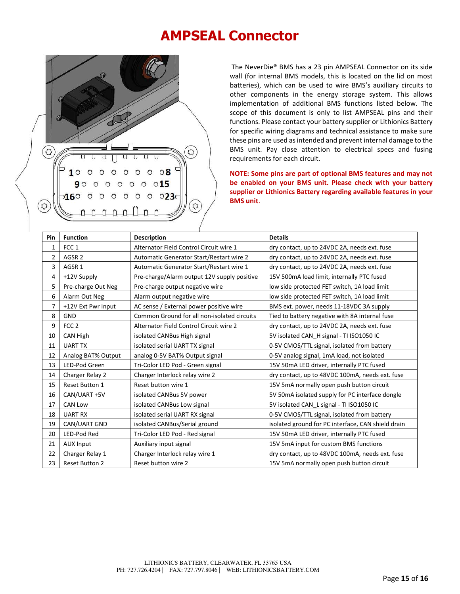### **AMPSEAL Connector**



 The NeverDie® BMS has a 23 pin AMPSEAL Connector on its side wall (for internal BMS models, this is located on the lid on most batteries), which can be used to wire BMS's auxiliary circuits to other components in the energy storage system. This allows implementation of additional BMS functions listed below. The scope of this document is only to list AMPSEAL pins and their functions. Please contact your battery supplier or Lithionics Battery for specific wiring diagrams and technical assistance to make sure these pins are used as intended and prevent internal damage to the BMS unit. Pay close attention to electrical specs and fusing requirements for each circuit.

**NOTE: Some pins are part of optional BMS features and may not be enabled on your BMS unit. Please check with your battery supplier or Lithionics Battery regarding available features in your BMS unit**.

| Pin            | <b>Function</b>       | <b>Description</b>                          | <b>Details</b>                                     |  |  |  |  |
|----------------|-----------------------|---------------------------------------------|----------------------------------------------------|--|--|--|--|
| $\mathbf{1}$   | FCC <sub>1</sub>      | Alternator Field Control Circuit wire 1     | dry contact, up to 24VDC 2A, needs ext. fuse       |  |  |  |  |
| $\overline{2}$ | AGSR <sub>2</sub>     | Automatic Generator Start/Restart wire 2    | dry contact, up to 24VDC 2A, needs ext. fuse       |  |  |  |  |
| 3              | AGSR <sub>1</sub>     | Automatic Generator Start/Restart wire 1    | dry contact, up to 24VDC 2A, needs ext. fuse       |  |  |  |  |
| 4              | +12V Supply           | Pre-charge/Alarm output 12V supply positive | 15V 500mA load limit, internally PTC fused         |  |  |  |  |
| 5              | Pre-charge Out Neg    | Pre-charge output negative wire             | low side protected FET switch, 1A load limit       |  |  |  |  |
| 6              | Alarm Out Neg         | Alarm output negative wire                  | low side protected FET switch, 1A load limit       |  |  |  |  |
| $\overline{7}$ | +12V Ext Pwr Input    | AC sense / External power positive wire     | BMS ext. power, needs 11-18VDC 3A supply           |  |  |  |  |
| 8              | <b>GND</b>            | Common Ground for all non-isolated circuits | Tied to battery negative with 8A internal fuse     |  |  |  |  |
| 9              | FCC <sub>2</sub>      | Alternator Field Control Circuit wire 2     | dry contact, up to 24VDC 2A, needs ext. fuse       |  |  |  |  |
| 10             | CAN High              | isolated CANBus High signal                 | 5V isolated CAN_H signal - TI ISO1050 IC           |  |  |  |  |
| 11             | <b>UART TX</b>        | isolated serial UART TX signal              | 0-5V CMOS/TTL signal, isolated from battery        |  |  |  |  |
| 12             | Analog BAT% Output    | analog 0-5V BAT% Output signal              | 0-5V analog signal, 1mA load, not isolated         |  |  |  |  |
| 13             | LED-Pod Green         | Tri-Color LED Pod - Green signal            | 15V 50mA LED driver, internally PTC fused          |  |  |  |  |
| 14             | Charger Relay 2       | Charger Interlock relay wire 2              | dry contact, up to 48VDC 100mA, needs ext. fuse    |  |  |  |  |
| 15             | Reset Button 1        | Reset button wire 1                         | 15V 5mA normally open push button circuit          |  |  |  |  |
| 16             | CAN/UART +5V          | isolated CANBus 5V power                    | 5V 50mA isolated supply for PC interface dongle    |  |  |  |  |
| 17             | <b>CAN Low</b>        | isolated CANBus Low signal                  | 5V isolated CAN_L signal - TI ISO1050 IC           |  |  |  |  |
| 18             | <b>UART RX</b>        | isolated serial UART RX signal              | 0-5V CMOS/TTL signal, isolated from battery        |  |  |  |  |
| 19             | CAN/UART GND          | isolated CANBus/Serial ground               | isolated ground for PC interface, CAN shield drain |  |  |  |  |
| 20             | LED-Pod Red           | Tri-Color LED Pod - Red signal              | 15V 50mA LED driver, internally PTC fused          |  |  |  |  |
| 21             | <b>AUX Input</b>      | Auxiliary input signal                      | 15V 5mA input for custom BMS functions             |  |  |  |  |
| 22             | Charger Relay 1       | Charger Interlock relay wire 1              | dry contact, up to 48VDC 100mA, needs ext. fuse    |  |  |  |  |
| 23             | <b>Reset Button 2</b> | Reset button wire 2                         | 15V 5mA normally open push button circuit          |  |  |  |  |